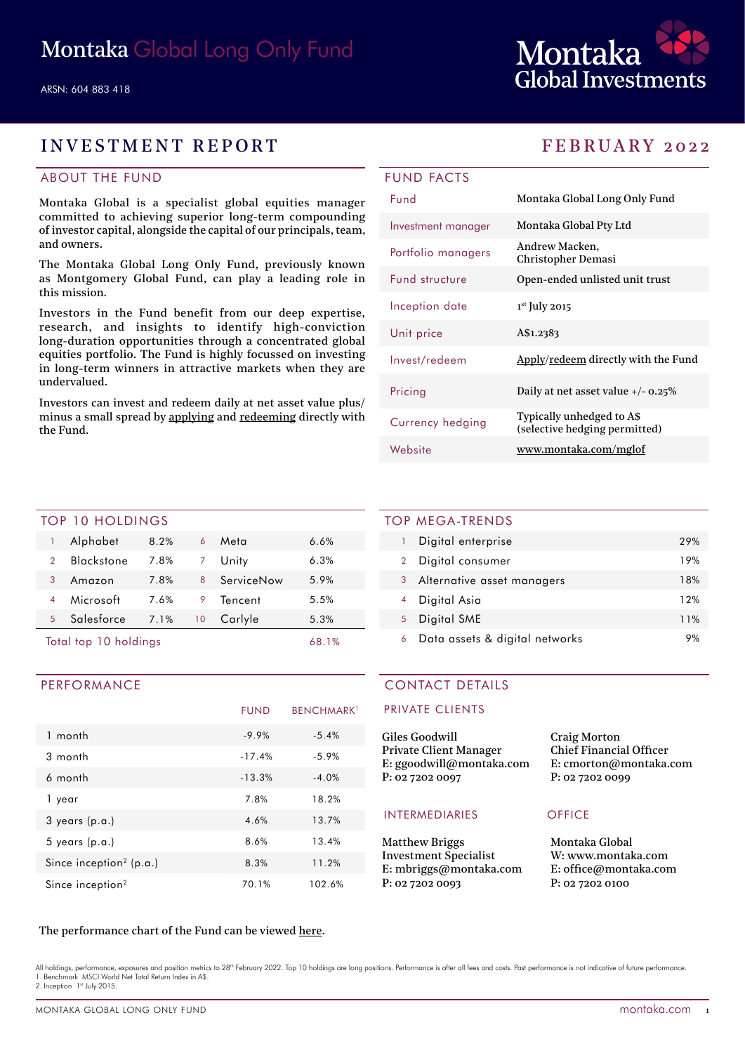

# INVESTMENT REPORT FEBRUARY 2022

# ABOUT THE FUND

Montaka Global is a specialist global equities manager committed to achieving superior long-term compounding of investor capital, alongside the capital of our principals, team, and owners.

The Montaka Global Long Only Fund, previously known as Montgomery Global Fund, can play a leading role in this mission.

Investors in the Fund benefit from our deep expertise, research, and insights to identify high-conviction long-duration opportunities through a concentrated global equities portfolio. The Fund is highly focussed on investing in long-term winners in attractive markets when they are undervalued.

Investors can invest and redeem daily at net asset value plus/ minus a small spread by [applying](https://fundhost.olivia123.com/fundhost/montaka-global-long-only-fund.php) and [redeeming](https://fundhost.com.au/investor-login/) directly with the Fund.

| <b>UND FACTS</b>   |                                             |
|--------------------|---------------------------------------------|
| <b>Fund</b>        | Montaka Global Long Only Fund               |
| Investment manager | Montaka Global Pty Ltd                      |
| Portfolio managers | Andrew Macken,<br><b>Christopher Demasi</b> |
| Fund structure     | Open-ended unlisted unit trust              |
| Inception date     | $1st$ July 2015                             |
| Unit price         | A\$1.2383                                   |
| Invest/redeem      | Apply/redeem directly with the Fund         |
| Pricing            | Daily at net asset value $+/- 0.25\%$       |

(selective hedging permitted)

#### TOP 10 HOLDINGS

|                       | Alphabet          | 8.2% | 6  | Meta       | 6.6% |
|-----------------------|-------------------|------|----|------------|------|
| $\mathcal{P}$         | <b>Blackstone</b> | 7.8% |    | Unity      | 6.3% |
| 3                     | Amazon            | 7.8% | 8  | ServiceNow | 5.9% |
|                       | Microsoft         | 7.6% | 9  | Tencent    | 5.5% |
| 5                     | Salesforce        | 7.1% | 10 | Carlyle    | 5.3% |
| Total top 10 holdings |                   |      |    | 68.1%      |      |

## PERFORMANCE

|                                     | <b>FUND</b> | <b>BENCHMARK</b> <sup>1</sup> |
|-------------------------------------|-------------|-------------------------------|
| 1 month                             | $-9.9%$     | $-5.4%$                       |
| $3$ month                           | $-17.4%$    | $-5.9%$                       |
| 6 month                             | $-13.3%$    | $-4.0%$                       |
| 1 year                              | 7.8%        | 18.2%                         |
| $3$ years $(p.a.)$                  | 4.6%        | 13.7%                         |
| $5$ years $(p.a.)$                  | 8.6%        | 13.4%                         |
| Since inception <sup>2</sup> (p.a.) | 8.3%        | 11.2%                         |
| Since inception <sup>2</sup>        | 70.1%       | 102.6%                        |

### TOP MEGA-TRENDS

**FUN** 

|   | Digital enterprise             | 29% |
|---|--------------------------------|-----|
| 2 | Digital consumer               | 19% |
| 3 | Alternative asset managers     | 18% |
|   | Digital Asia                   | 12% |
| 5 | Digital SME                    | 11% |
| 6 | Data assets & digital networks | 9%  |

Currency hedging Typically unhedged to A\$

Website [www.montaka.com/mg](https://montaka.com/our-philosophy/montaka-global-long-only/montaka-global-long-only-fund/)lof

# CONTACT DETAILS

#### PRIVATE CLIENTS

| Giles Goodwill           | <b>Craig Morton</b>            |
|--------------------------|--------------------------------|
| Private Client Manager   | <b>Chief Financial Officer</b> |
| E: ggoodwill@montaka.com | E: cmorton@montaka.co          |
| P: 02 7202 0097          | P: 0272020099                  |
|                          |                                |

#### INTERMEDIARIES OFFICE

Matthew Briggs Investment Specialist E: mbriggs@montaka.com P: 02 7202 0093

E: cmorton@montaka.com

Montaka Global W: [www.montaka.com](http://www.montaka.com) E: office@montaka.com P: 02 7202 0100

### The performance chart of the Fund can be viewed [here](https://montaka.com/our-philosophy/montaka-global-long-only/montaka-global-long-only-fund/).

All holdings, performance, exposures and position metrics to 28<sup>th</sup> February 2022. Top 10 holdings are long positions. Performance is after all fees and costs. Past performance is not indicative of future performance 1. Benchmark MSCI World Net Total Return Index in A\$. 2. Inception 1st July 2015.